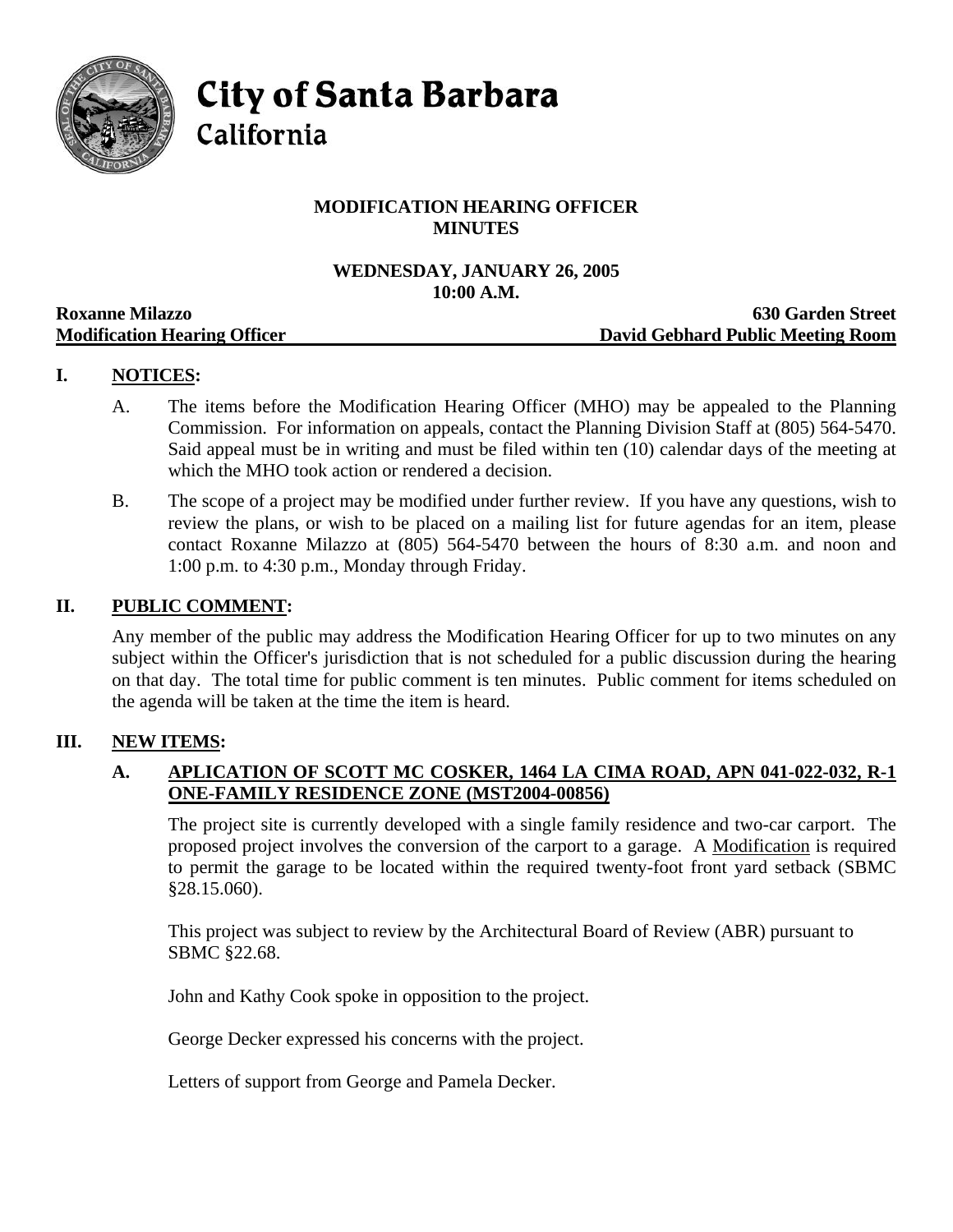

**City of Santa Barbara** 

# California

# **MODIFICATION HEARING OFFICER MINUTES**

#### **WEDNESDAY, JANUARY 26, 2005 10:00 A.M.**

| <b>Roxanne Milazzo</b>              | <b>630 Garden Street</b>          |
|-------------------------------------|-----------------------------------|
| <b>Modification Hearing Officer</b> | David Gebhard Public Meeting Room |

# **I. NOTICES:**

- A. The items before the Modification Hearing Officer (MHO) may be appealed to the Planning Commission. For information on appeals, contact the Planning Division Staff at (805) 564-5470. Said appeal must be in writing and must be filed within ten (10) calendar days of the meeting at which the MHO took action or rendered a decision.
- B. The scope of a project may be modified under further review. If you have any questions, wish to review the plans, or wish to be placed on a mailing list for future agendas for an item, please contact Roxanne Milazzo at (805) 564-5470 between the hours of 8:30 a.m. and noon and 1:00 p.m. to 4:30 p.m., Monday through Friday.

### **II. PUBLIC COMMENT:**

Any member of the public may address the Modification Hearing Officer for up to two minutes on any subject within the Officer's jurisdiction that is not scheduled for a public discussion during the hearing on that day. The total time for public comment is ten minutes. Public comment for items scheduled on the agenda will be taken at the time the item is heard.

#### **III. NEW ITEMS:**

# **A. APLICATION OF SCOTT MC COSKER, 1464 LA CIMA ROAD, APN 041-022-032, R-1 ONE-FAMILY RESIDENCE ZONE (MST2004-00856)**

The project site is currently developed with a single family residence and two-car carport. The proposed project involves the conversion of the carport to a garage. A Modification is required to permit the garage to be located within the required twenty-foot front yard setback (SBMC §28.15.060).

This project was subject to review by the Architectural Board of Review (ABR) pursuant to SBMC §22.68.

John and Kathy Cook spoke in opposition to the project.

George Decker expressed his concerns with the project.

Letters of support from George and Pamela Decker.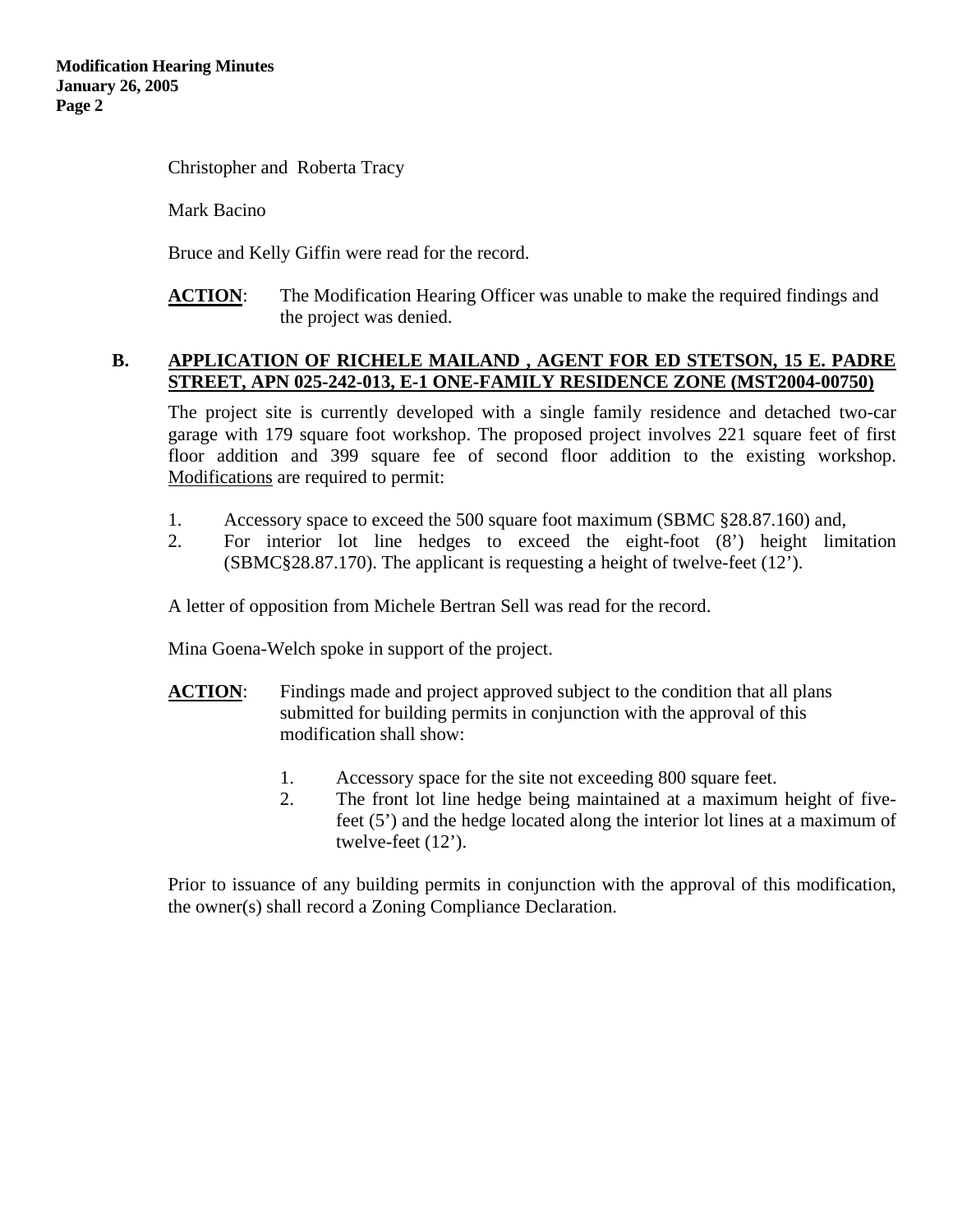Christopher and Roberta Tracy

Mark Bacino

Bruce and Kelly Giffin were read for the record.

**ACTION**: The Modification Hearing Officer was unable to make the required findings and the project was denied.

#### **B. APPLICATION OF RICHELE MAILAND , AGENT FOR ED STETSON, 15 E. PADRE STREET, APN 025-242-013, E-1 ONE-FAMILY RESIDENCE ZONE (MST2004-00750)**

The project site is currently developed with a single family residence and detached two-car garage with 179 square foot workshop. The proposed project involves 221 square feet of first floor addition and 399 square fee of second floor addition to the existing workshop. Modifications are required to permit:

- 1. Accessory space to exceed the 500 square foot maximum (SBMC §28.87.160) and,
- 2. For interior lot line hedges to exceed the eight-foot (8') height limitation (SBMC§28.87.170). The applicant is requesting a height of twelve-feet (12').

A letter of opposition from Michele Bertran Sell was read for the record.

Mina Goena-Welch spoke in support of the project.

- **ACTION:** Findings made and project approved subject to the condition that all plans submitted for building permits in conjunction with the approval of this modification shall show:
	- 1. Accessory space for the site not exceeding 800 square feet.
	- 2. The front lot line hedge being maintained at a maximum height of fivefeet (5') and the hedge located along the interior lot lines at a maximum of twelve-feet (12').

Prior to issuance of any building permits in conjunction with the approval of this modification, the owner(s) shall record a Zoning Compliance Declaration.